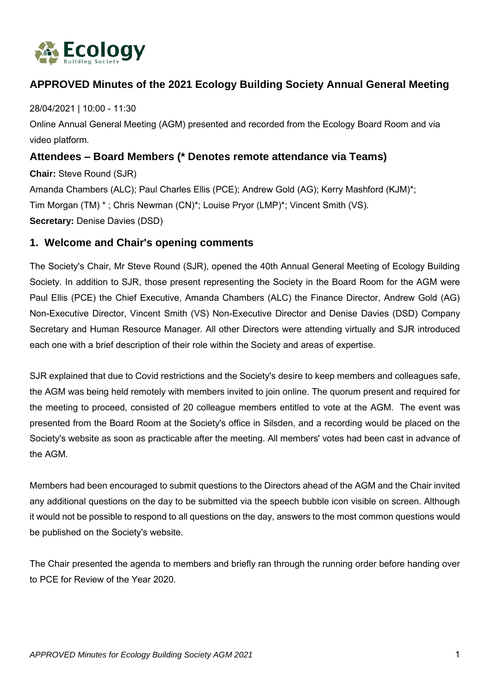

# **APPROVED Minutes of the 2021 Ecology Building Society Annual General Meeting**

### 28/04/2021 | 10:00 - 11:30

Online Annual General Meeting (AGM) presented and recorded from the Ecology Board Room and via video platform.

## **Attendees – Board Members (\* Denotes remote attendance via Teams)**

**Chair:** Steve Round (SJR) Amanda Chambers (ALC); Paul Charles Ellis (PCE); Andrew Gold (AG); Kerry Mashford (KJM)\*; Tim Morgan (TM) \* ; Chris Newman (CN)\*; Louise Pryor (LMP)\*; Vincent Smith (VS). **Secretary:** Denise Davies (DSD)

### **1. Welcome and Chair's opening comments**

The Society's Chair, Mr Steve Round (SJR), opened the 40th Annual General Meeting of Ecology Building Society. In addition to SJR, those present representing the Society in the Board Room for the AGM were Paul Ellis (PCE) the Chief Executive, Amanda Chambers (ALC) the Finance Director, Andrew Gold (AG) Non-Executive Director, Vincent Smith (VS) Non-Executive Director and Denise Davies (DSD) Company Secretary and Human Resource Manager. All other Directors were attending virtually and SJR introduced each one with a brief description of their role within the Society and areas of expertise.

SJR explained that due to Covid restrictions and the Society's desire to keep members and colleagues safe, the AGM was being held remotely with members invited to join online. The quorum present and required for the meeting to proceed, consisted of 20 colleague members entitled to vote at the AGM. The event was presented from the Board Room at the Society's office in Silsden, and a recording would be placed on the Society's website as soon as practicable after the meeting. All members' votes had been cast in advance of the AGM.

Members had been encouraged to submit questions to the Directors ahead of the AGM and the Chair invited any additional questions on the day to be submitted via the speech bubble icon visible on screen. Although it would not be possible to respond to all questions on the day, answers to the most common questions would be published on the Society's website.

The Chair presented the agenda to members and briefly ran through the running order before handing over to PCE for Review of the Year 2020.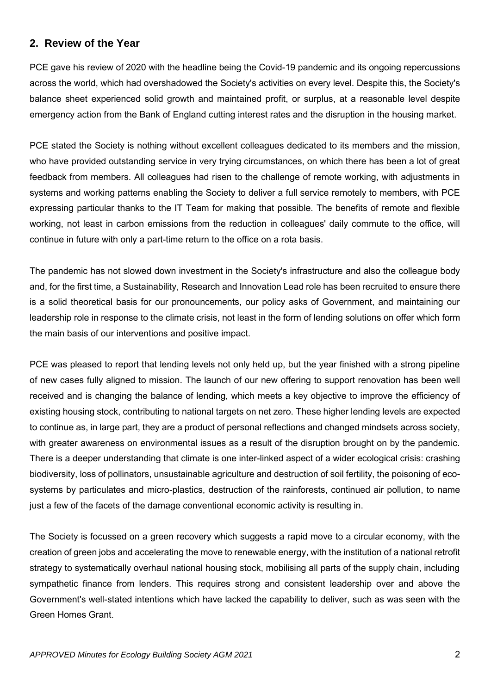## **2. Review of the Year**

PCE gave his review of 2020 with the headline being the Covid-19 pandemic and its ongoing repercussions across the world, which had overshadowed the Society's activities on every level. Despite this, the Society's balance sheet experienced solid growth and maintained profit, or surplus, at a reasonable level despite emergency action from the Bank of England cutting interest rates and the disruption in the housing market.

PCE stated the Society is nothing without excellent colleagues dedicated to its members and the mission, who have provided outstanding service in very trying circumstances, on which there has been a lot of great feedback from members. All colleagues had risen to the challenge of remote working, with adjustments in systems and working patterns enabling the Society to deliver a full service remotely to members, with PCE expressing particular thanks to the IT Team for making that possible. The benefits of remote and flexible working, not least in carbon emissions from the reduction in colleagues' daily commute to the office, will continue in future with only a part-time return to the office on a rota basis.

The pandemic has not slowed down investment in the Society's infrastructure and also the colleague body and, for the first time, a Sustainability, Research and Innovation Lead role has been recruited to ensure there is a solid theoretical basis for our pronouncements, our policy asks of Government, and maintaining our leadership role in response to the climate crisis, not least in the form of lending solutions on offer which form the main basis of our interventions and positive impact.

PCE was pleased to report that lending levels not only held up, but the year finished with a strong pipeline of new cases fully aligned to mission. The launch of our new offering to support renovation has been well received and is changing the balance of lending, which meets a key objective to improve the efficiency of existing housing stock, contributing to national targets on net zero. These higher lending levels are expected to continue as, in large part, they are a product of personal reflections and changed mindsets across society, with greater awareness on environmental issues as a result of the disruption brought on by the pandemic. There is a deeper understanding that climate is one inter-linked aspect of a wider ecological crisis: crashing biodiversity, loss of pollinators, unsustainable agriculture and destruction of soil fertility, the poisoning of ecosystems by particulates and micro-plastics, destruction of the rainforests, continued air pollution, to name just a few of the facets of the damage conventional economic activity is resulting in.

The Society is focussed on a green recovery which suggests a rapid move to a circular economy, with the creation of green jobs and accelerating the move to renewable energy, with the institution of a national retrofit strategy to systematically overhaul national housing stock, mobilising all parts of the supply chain, including sympathetic finance from lenders. This requires strong and consistent leadership over and above the Government's well-stated intentions which have lacked the capability to deliver, such as was seen with the Green Homes Grant.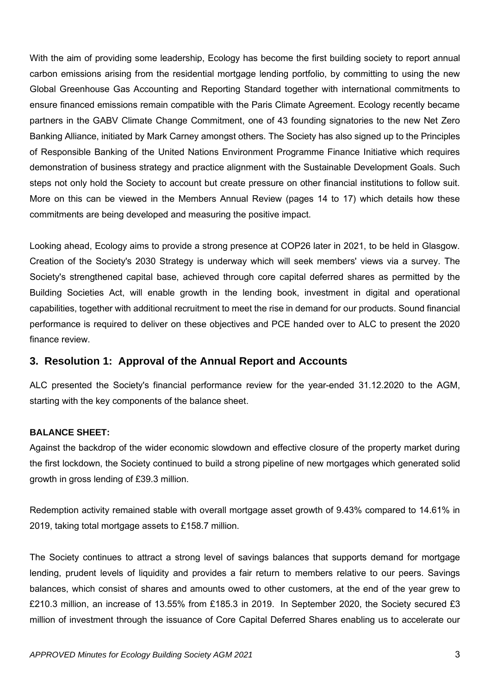With the aim of providing some leadership, Ecology has become the first building society to report annual carbon emissions arising from the residential mortgage lending portfolio, by committing to using the new Global Greenhouse Gas Accounting and Reporting Standard together with international commitments to ensure financed emissions remain compatible with the Paris Climate Agreement. Ecology recently became partners in the GABV Climate Change Commitment, one of 43 founding signatories to the new Net Zero Banking Alliance, initiated by Mark Carney amongst others. The Society has also signed up to the Principles of Responsible Banking of the United Nations Environment Programme Finance Initiative which requires demonstration of business strategy and practice alignment with the Sustainable Development Goals. Such steps not only hold the Society to account but create pressure on other financial institutions to follow suit. More on this can be viewed in the Members Annual Review (pages 14 to 17) which details how these commitments are being developed and measuring the positive impact.

Looking ahead, Ecology aims to provide a strong presence at COP26 later in 2021, to be held in Glasgow. Creation of the Society's 2030 Strategy is underway which will seek members' views via a survey. The Society's strengthened capital base, achieved through core capital deferred shares as permitted by the Building Societies Act, will enable growth in the lending book, investment in digital and operational capabilities, together with additional recruitment to meet the rise in demand for our products. Sound financial performance is required to deliver on these objectives and PCE handed over to ALC to present the 2020 finance review.

### **3. Resolution 1: Approval of the Annual Report and Accounts**

ALC presented the Society's financial performance review for the year-ended 31.12.2020 to the AGM, starting with the key components of the balance sheet.

#### **BALANCE SHEET:**

Against the backdrop of the wider economic slowdown and effective closure of the property market during the first lockdown, the Society continued to build a strong pipeline of new mortgages which generated solid growth in gross lending of £39.3 million.

Redemption activity remained stable with overall mortgage asset growth of 9.43% compared to 14.61% in 2019, taking total mortgage assets to £158.7 million.

The Society continues to attract a strong level of savings balances that supports demand for mortgage lending, prudent levels of liquidity and provides a fair return to members relative to our peers. Savings balances, which consist of shares and amounts owed to other customers, at the end of the year grew to £210.3 million, an increase of 13.55% from £185.3 in 2019. In September 2020, the Society secured £3 million of investment through the issuance of Core Capital Deferred Shares enabling us to accelerate our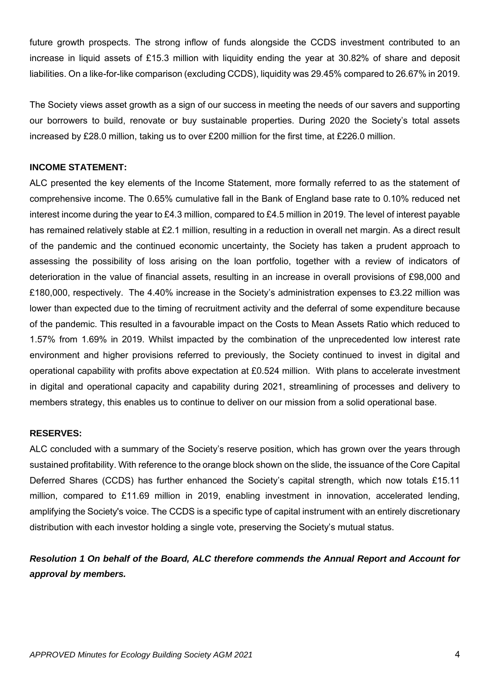future growth prospects. The strong inflow of funds alongside the CCDS investment contributed to an increase in liquid assets of £15.3 million with liquidity ending the year at 30.82% of share and deposit liabilities. On a like-for-like comparison (excluding CCDS), liquidity was 29.45% compared to 26.67% in 2019.

The Society views asset growth as a sign of our success in meeting the needs of our savers and supporting our borrowers to build, renovate or buy sustainable properties. During 2020 the Society's total assets increased by £28.0 million, taking us to over £200 million for the first time, at £226.0 million.

#### **INCOME STATEMENT:**

ALC presented the key elements of the Income Statement, more formally referred to as the statement of comprehensive income. The 0.65% cumulative fall in the Bank of England base rate to 0.10% reduced net interest income during the year to £4.3 million, compared to £4.5 million in 2019. The level of interest payable has remained relatively stable at £2.1 million, resulting in a reduction in overall net margin. As a direct result of the pandemic and the continued economic uncertainty, the Society has taken a prudent approach to assessing the possibility of loss arising on the loan portfolio, together with a review of indicators of deterioration in the value of financial assets, resulting in an increase in overall provisions of £98,000 and £180,000, respectively. The 4.40% increase in the Society's administration expenses to £3.22 million was lower than expected due to the timing of recruitment activity and the deferral of some expenditure because of the pandemic. This resulted in a favourable impact on the Costs to Mean Assets Ratio which reduced to 1.57% from 1.69% in 2019. Whilst impacted by the combination of the unprecedented low interest rate environment and higher provisions referred to previously, the Society continued to invest in digital and operational capability with profits above expectation at £0.524 million. With plans to accelerate investment in digital and operational capacity and capability during 2021, streamlining of processes and delivery to members strategy, this enables us to continue to deliver on our mission from a solid operational base.

#### **RESERVES:**

ALC concluded with a summary of the Society's reserve position, which has grown over the years through sustained profitability. With reference to the orange block shown on the slide, the issuance of the Core Capital Deferred Shares (CCDS) has further enhanced the Society's capital strength, which now totals £15.11 million, compared to £11.69 million in 2019, enabling investment in innovation, accelerated lending, amplifying the Society's voice. The CCDS is a specific type of capital instrument with an entirely discretionary distribution with each investor holding a single vote, preserving the Society's mutual status.

## *Resolution 1 On behalf of the Board, ALC therefore commends the Annual Report and Account for approval by members.*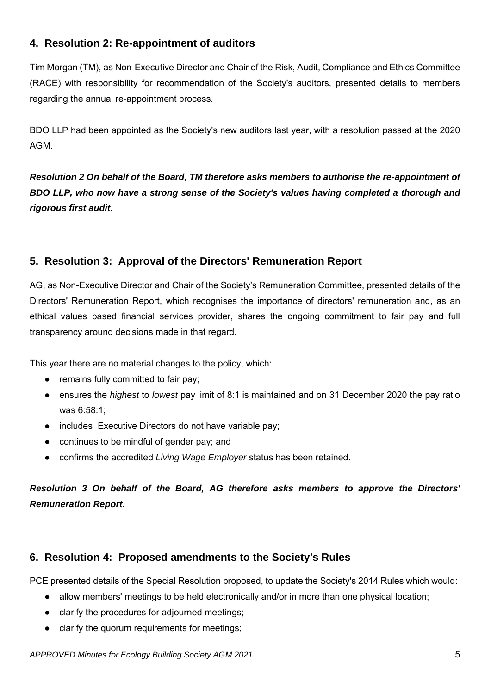# **4. Resolution 2: Re-appointment of auditors**

Tim Morgan (TM), as Non-Executive Director and Chair of the Risk, Audit, Compliance and Ethics Committee (RACE) with responsibility for recommendation of the Society's auditors, presented details to members regarding the annual re-appointment process.

BDO LLP had been appointed as the Society's new auditors last year, with a resolution passed at the 2020 AGM.

*Resolution 2 On behalf of the Board, TM therefore asks members to authorise the re-appointment of BDO LLP, who now have a strong sense of the Society's values having completed a thorough and rigorous first audit.*

# **5. Resolution 3: Approval of the Directors' Remuneration Report**

AG, as Non-Executive Director and Chair of the Society's Remuneration Committee, presented details of the Directors' Remuneration Report, which recognises the importance of directors' remuneration and, as an ethical values based financial services provider, shares the ongoing commitment to fair pay and full transparency around decisions made in that regard.

This year there are no material changes to the policy, which:

- remains fully committed to fair pay;
- ensures the *highest* to *lowest* pay limit of 8:1 is maintained and on 31 December 2020 the pay ratio was 6:58:1;
- includes Executive Directors do not have variable pay;
- continues to be mindful of gender pay; and
- confirms the accredited *Living Wage Employer* status has been retained.

*Resolution 3 On behalf of the Board, AG therefore asks members to approve the Directors' Remuneration Report.*

## **6. Resolution 4: Proposed amendments to the Society's Rules**

PCE presented details of the Special Resolution proposed, to update the Society's 2014 Rules which would:

- allow members' meetings to be held electronically and/or in more than one physical location;
- clarify the procedures for adjourned meetings;
- clarify the quorum requirements for meetings;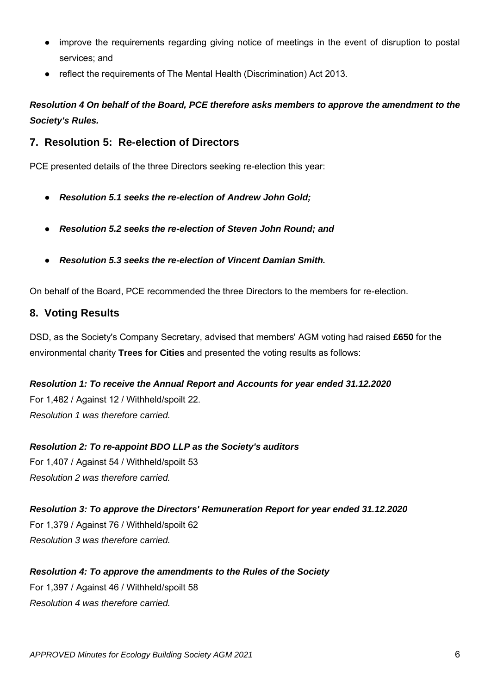- improve the requirements regarding giving notice of meetings in the event of disruption to postal services; and
- reflect the requirements of The Mental Health (Discrimination) Act 2013.

# *Resolution 4 On behalf of the Board, PCE therefore asks members to approve the amendment to the Society's Rules.*

### **7. Resolution 5: Re-election of Directors**

PCE presented details of the three Directors seeking re-election this year:

- *Resolution 5.1 seeks the re-election of Andrew John Gold;*
- *Resolution 5.2 seeks the re-election of Steven John Round; and*
- *Resolution 5.3 seeks the re-election of Vincent Damian Smith.*

On behalf of the Board, PCE recommended the three Directors to the members for re-election.

### **8. Voting Results**

DSD, as the Society's Company Secretary, advised that members' AGM voting had raised **£650** for the environmental charity **Trees for Cities** and presented the voting results as follows:

*Resolution 1: To receive the Annual Report and Accounts for year ended 31.12.2020* For 1,482 / Against 12 / Withheld/spoilt 22. *Resolution 1 was therefore carried.*

*Resolution 2: To re-appoint BDO LLP as the Society's auditors* For 1,407 / Against 54 / Withheld/spoilt 53 *Resolution 2 was therefore carried.*

*Resolution 3: To approve the Directors' Remuneration Report for year ended 31.12.2020* For 1,379 / Against 76 / Withheld/spoilt 62 *Resolution 3 was therefore carried.*

*Resolution 4: To approve the amendments to the Rules of the Society* For 1,397 / Against 46 / Withheld/spoilt 58

*Resolution 4 was therefore carried.*